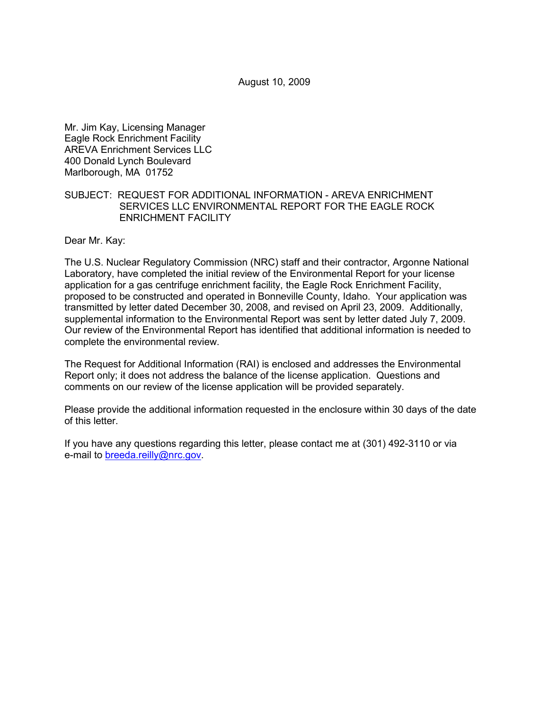August 10, 2009

Mr. Jim Kay, Licensing Manager Eagle Rock Enrichment Facility AREVA Enrichment Services LLC 400 Donald Lynch Boulevard Marlborough, MA 01752

## SUBJECT: REQUEST FOR ADDITIONAL INFORMATION - AREVA ENRICHMENT SERVICES LLC ENVIRONMENTAL REPORT FOR THE EAGLE ROCK ENRICHMENT FACILITY

Dear Mr. Kay:

The U.S. Nuclear Regulatory Commission (NRC) staff and their contractor, Argonne National Laboratory, have completed the initial review of the Environmental Report for your license application for a gas centrifuge enrichment facility, the Eagle Rock Enrichment Facility, proposed to be constructed and operated in Bonneville County, Idaho. Your application was transmitted by letter dated December 30, 2008, and revised on April 23, 2009. Additionally, supplemental information to the Environmental Report was sent by letter dated July 7, 2009. Our review of the Environmental Report has identified that additional information is needed to complete the environmental review.

The Request for Additional Information (RAI) is enclosed and addresses the Environmental Report only; it does not address the balance of the license application. Questions and comments on our review of the license application will be provided separately.

Please provide the additional information requested in the enclosure within 30 days of the date of this letter.

If you have any questions regarding this letter, please contact me at (301) 492-3110 or via e-mail to breeda.reilly@nrc.gov.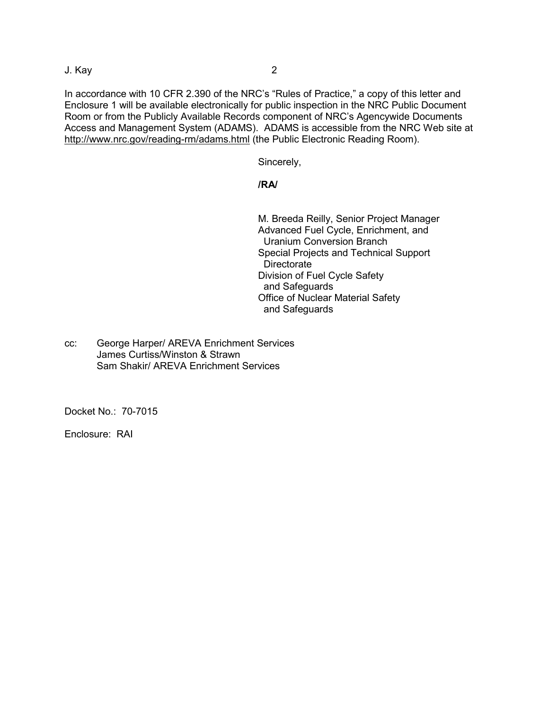J. Kay 2

In accordance with 10 CFR 2.390 of the NRC's "Rules of Practice," a copy of this letter and Enclosure 1 will be available electronically for public inspection in the NRC Public Document Room or from the Publicly Available Records component of NRC's Agencywide Documents Access and Management System (ADAMS). ADAMS is accessible from the NRC Web site at http://www.nrc.gov/reading-rm/adams.html (the Public Electronic Reading Room).

Sincerely,

# **/RA/**

 M. Breeda Reilly, Senior Project Manager Advanced Fuel Cycle, Enrichment, and Uranium Conversion Branch Special Projects and Technical Support **Directorate** Division of Fuel Cycle Safety and Safeguards Office of Nuclear Material Safety and Safeguards

cc: George Harper/ AREVA Enrichment Services James Curtiss/Winston & Strawn Sam Shakir/ AREVA Enrichment Services

Docket No.: 70-7015

Enclosure: RAI